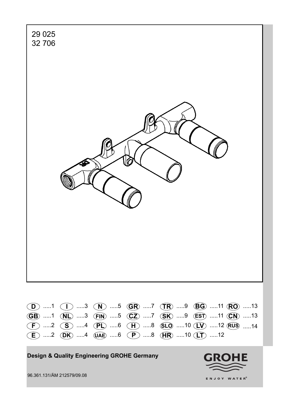

**Design & Quality Engineering GROHE Germany**



96.361.131/ÄM 212579/09.08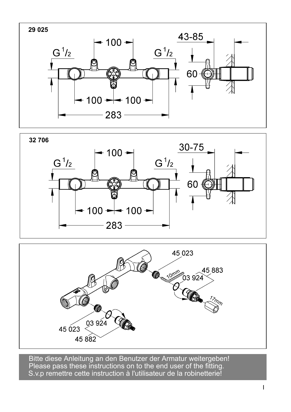





Please pass these instructions on to the end user of the fitting. S.v.p remettre cette instruction à l'utilisateur de la robinetterie! Bitte diese Anleitung an den Benutzer der Armatur weitergeben!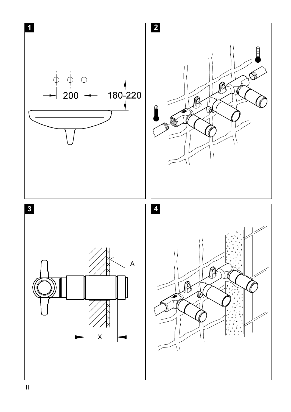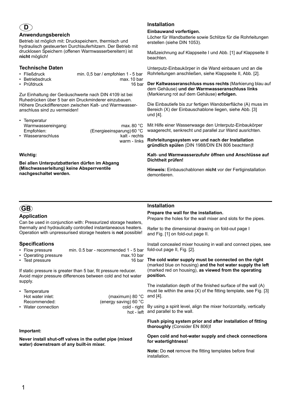## **D**

#### **Anwendungsbereich**

Betrieb ist möglich mit: Druckspeichern, thermisch und hydraulisch gesteuerten Durchlauferhitzern. Der Betrieb mit drucklosen Speichern (offenen Warmwasserbereitern) ist **nicht** möglich!

## **Technische Daten**

- 
- Fließdruck min. 0,5 bar / empfohlen 1 5 bar • Betriebsdruck max. 10 bar
- $\cdot$  Prüfdruck

Zur Einhaltung der Geräuschwerte nach DIN 4109 ist bei Ruhedrücken über 5 bar ein Druckminderer einzubauen. Höhere Druckdifferenzen zwischen Kalt- und Warmwasseranschluss sind zu vermeiden!

| • Temperatur       |                                    |
|--------------------|------------------------------------|
| Warmwassereingang: | max. 80 $^{\circ}$ C               |
| Empfohlen:         | (Energieeinsparung) 60 $\degree$ C |
| • Wasseranschluss  | kalt - rechts                      |
|                    | warm - links                       |

#### **Wichtig:**

**Bei allen Unterputzbatterien dürfen im Abgang (Mischwasserleitung) keine Absperrventile nachgeschaltet werden.**

## **Installation**

#### **Einbauwand vorfertigen.**

Löcher für Wandbatterie sowie Schlitze für die Rohrleitungen erstellen (siehe DIN 1053).

Maßzeichnung auf Klappseite I und Abb. [1] auf Klappseite II beachten.

Unterputz-Einbaukörper in die Wand einbauen und an die Rohrleitungen anschließen, siehe Klappseite II, Abb. [2].

**Der Kaltwasseranschluss muss rechts** (Markierung blau auf dem Gehäuse) **und der Warmwasseranschluss links**  (Markierung rot auf dem Gehäuse) **erfolgen.**

Die Einbautiefe bis zur fertigen Wandoberfläche (A) muss im Bereich (X) der Einbauschablone liegen, siehe Abb. [3] und [4].

Mit Hilfe einer Wasserwaage den Unterputz-Einbaukörper waagerecht, senkrecht und parallel zur Wand ausrichten.

**Rohrleitungssystem vor und nach der Installation gründlich spülen** (DIN 1988/DIN EN 806 beachten)**!**

**Kalt- und Warmwasserzufuhr öffnen und Anschlüsse auf Dichtheit prüfen!**

**Hinweis:** Einbauschablonen **nicht** vor der Fertiginstallation demontieren.

## **GB**

## **Application**

Can be used in conjunction with: Pressurized storage heaters, thermally and hydraulically controlled instantaneaous heaters. Operation with unpressurised storage heaters is **not** possible!

## **Specifications**

- Flow pressure min. 0.5 bar recommended 1 5 bar
- Operating pressure max.10 bar
- $\cdot$  Test pressure

If static pressure is greater than 5 bar, fit pressure reducer. Avoid major pressure differences between cold and hot water supply.

| • Temperature      |                       |
|--------------------|-----------------------|
| Hot water inlet:   | (maximum) 80 °C       |
| Recommended:       | (energy saving) 60 °C |
| • Water connection | cold - right          |
|                    | hot - left            |

#### **Important:**

**Never install shut-off valves in the outlet pipe (mixed water) downstream of any built-in mixer.**

## **Installation**

#### **Prepare the wall for the installation.**

Prepare the holes for the wall mixer and slots for the pipes.

Refer to the dimensional drawing on fold-out page I and Fig. [1] on fold-out page II.

Install concealed mixer housing in wall and connect pipes, see fold-out page II, Fig. [2].

**The cold water supply must be connected on the right** (marked blue on housing) **and the hot water supply the left**  (marked red on housing), **as viewed from the operating position.**

The installation depth of the finished surface of the wall (A) must lie within the area (X) of the fitting template, see Fig. [3] and [4].

hot - left and parallel to the wall. It By using a spirit level, align the mixer horizontally, vertically

#### **Flush piping system prior and after installation of fitting thoroughly** (Consider EN 806)**!**

#### **Open cold and hot-water supply and check connections for watertightness!**

**Note:** Do **not** remove the fitting templates before final installation.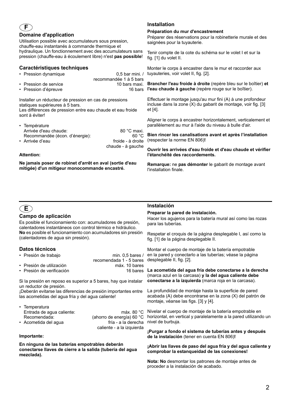# **Domaine d'application**

Utilisation possible avec accumulateurs sous pression, chauffe-eau instantanés à commande thermique et hydraulique. Un fonctionnement avec des accumulateurs sans pression (chauffe-eau à écoulement libre) n'est **pas possible**!

## **Caractéristiques techniques**

- Pression dynamique 0,5 bar mini. / recommandée 1 à 5 bars • Pression de service
- Pression d'épreuve 16 bars

Installer un réducteur de pression en cas de pressions statiques supérieures à 5 bars.

Les différences de pression entre eau chaude et eau froide sont à éviter!

| • Température                  |                   |
|--------------------------------|-------------------|
| Arrivée d'eau chaude:          | 80 °C maxi.       |
| Recommandée (écon. d'énergie): | 60 °C             |
| • Arrivée d'eau                | froide - à droite |
|                                | chaude - à gauche |

#### **Attention:**

**F**

**Ne jamais poser de robinet d'arrêt en aval (sortie d'eau mitigée) d'un mitigeur monocommande encastré.**

## **Installation**

#### **Préparation du mur d'encastrement**

Préparer des réservations pour la robinetterie murale et des saignées pour la tuyauterie.

Tenir compte de la cote du schéma sur le volet I et sur la fig. [1] du volet II.

Monter le corps à encastrer dans le mur et raccorder aux tuyauteries, voir volet II, fig. [2].

**Brancher l'eau froide à droite** (repère bleu sur le boîtier) **et l'eau chaude à gauche** (repère rouge sur le boîtier).

Effectuer le montage jusqu'au mur fini (A) à une profondeur incluse dans la zone (X) du gabarit de montage, voir fig. [3] et [4].

Aligner le corps à encastrer horizontalement, verticalement et parallèlement au mur à l'aide du niveau à bulle d'air.

**Bien rincer les canalisations avant et après l'installation**  (respecter la norme EN 806)**!**

**Ouvrir les arrivées d'eau froide et d'eau chaude et vérifier l'étanchéité des raccordements.**

**Remarque:** ne **pas démonter** le gabarit de montage avant l'installation finale.

## **E**

## **Campo de aplicación**

Es posible el funcionamiento con: acumuladores de presión, calentadores instantáneos con control térmico e hidráulico. **No** es posible el funcionamiento con acumuladores sin presión (calentadores de agua sin presión).

## **Datos técnicos**

| • Presión de trabajo      | min. $0.5$ bares /      |
|---------------------------|-------------------------|
|                           | recomendada 1 - 5 bares |
| • Presión de utilización  | máx. 10 bares           |
| • Presión de verificación | 16 bares                |

Si la presión en reposo es superior a 5 bares, hay que instalar un reductor de presión.

¡Deberán evitarse las diferencias de presión importantes entre las acometidas del agua fría y del agua caliente!

| • Temperatura             |                           |
|---------------------------|---------------------------|
| Entrada de agua caliente: | máx. 80 $^{\circ}$ C      |
| Recomendada:              | (ahorro de energía) 60 °C |
| • Acometida del agua      | fría - a la derecha       |
|                           | caliente - a la izquierda |

#### **Importante:**

**En ninguna de las baterías empotrables deberán conectarse llaves de cierre a la salida (tubería del agua mezclada).**

## **Instalación**

**Preparar la pared de instalación.** Hacer los agujeros para la batería mural así como las rozas para las tuberías.

Respetar el croquis de la página desplegable I, así como la fig. [1] de la página desplegable II.

Montar el cuerpo de montaje de la batería empotrable en la pared y conectarlo a las tuberías; véase la página desplegable II, fig. [2].

**La acometida del agua fría debe conectarse a la derecha** (marca azul en la carcasa) **y la del agua caliente debe conectarse a la izquierda** (marca roja en la carcasa).

La profundidad de montaje hasta la superficie de pared acabada (A) debe encontrarse en la zona (X) del patrón de montaje, véanse las figs. [3] y [4].

Nivelar el cuerpo de montaje de la batería empotrable en horizontal, en vertical y paralelamente a la pared utilizando un nivel de burbuja.

**¡Purgar a fondo el sistema de tuberías antes y después de la instalación** (tener en cuenta EN 806)**!**

**¡Abrir las llaves de paso del agua fría y del agua caliente y comprobar la estanqueidad de las conexiones!**

**Nota: No** desmontar los patrones de montaje antes de proceder a la instalación de acabado.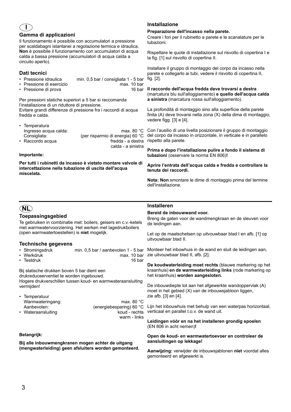## **I**

#### **Gamma di applicazioni**

Il funzionamento è possibile con accumulatori a pressione per scaldabagni istantanei a regolazione termica e idraulica. **Non** è possibile il funzionamento con accumulatori di acqua calda a bassa pressione (accumulatori di acqua calda a circuito aperto).

## **Dati tecnici**

- Pressione idraulica min. 0,5 bar / consigliata 1 5 bar
- Pressione di esercizio
- Pressione di prova

Per pressioni statiche superiori a 5 bar si raccomanda l'installazione di un riduttore di pressione.

Evitare grandi differenze di pressione fra i raccordi di acqua fredda e calda.

| • Temperatura         |                                  |
|-----------------------|----------------------------------|
| Ingresso acqua calda: | max. 80 $^{\circ}$ C             |
| Consigliata:          | (per risparmio di energia) 60 °C |
| • Raccordo acqua      | fredda - a destra                |
|                       | calda - a sinistra               |

#### **Importante:**

**Per tutti i rubinetti da incasso è vietato montare valvole di intercettazione nella tubazione di uscita dell'acqua miscelata.**

## **Installazione**

#### **Preparazione dell'incasso nella parete.**

Creare i fori per il rubinetto a parete e le scanalature per le tubazioni.

Rispettare le quote di installazione sul risvolto di copertina I e la fig. [1] sul risvolto di copertina II.

Installare il gruppo di montaggio del corpo da incasso nella parete e collegarlo ai tubi, vedere il risvolto di copertina II, fig. [2].

**Il raccordo dell'acqua fredda deve trovarsi a destra**  (marcatura blu sull'alloggiamento) **e quello dell'acqua calda a sinistra** (marcatura rossa sull'alloggiamento).

> La profondità di montaggio sino alla superficie della parete finita (A) deve trovarsi nella zona (X) della dima di montaggio, vedere figg. [3] e [4].

Con l'ausilio di una livella posizionare il gruppo di montaggio del corpo da incasso in orizzontale, in verticale e in parallelo rispetto alla parete.

**Prima e dopo l'installazione pulire a fondo il sistema di tubazioni** (osservare la norma EN 806)**!**

**Aprire l'entrata dell'acqua calda e fredda e controllare la tenuta dei raccordi.**

**Nota: Non** smontare le dime di montaggio prima del termine dell'installazione.

## **NL**

## **Toepassingsgebied**

Te gebruiken in combinatie met: boilers, geisers en c.v.-ketels met warmwatervoorziening. Het werken met lagedrukboilers (open warmwatertoestellen) is **niet** mogelijk.

## **Technische gegevens**

- 
- Stromingsdruk min. 0,5 bar / aanbevolen 1 5 bar max.  $10 \text{ bar}$ <br> $16 \text{ bar}$  $\cdot$  Testdruk

Bij statische drukken boven 5 bar dient een

drukreduceerventiel te worden ingebouwd.

Hogere drukverschillen tussen koud- en warmwateraansluiting vermijden!

| • Temperatuur      |                          |
|--------------------|--------------------------|
| Warmwateringang:   | max. 80 $^{\circ}$ C     |
| Aanbevolen:        | (energiebesparing) 60 °C |
| • Wateraansluiting | koud - rechts            |
|                    | warm - links             |

#### **Belangrijk:**

**Bij alle inbouwmengkranen mogen achter de uitgang (mengwaterleiding) geen afsluiters worden gemonteerd.**

## **Installeren**

#### **Bereid de inbouwwand voor.**

Breng de gaten voor de wandmengkraan en de sleuven voor de leidingen aan.

Let op de maatschetsen op uitvouwbaar blad I en afb. [1] op uitvouwbaar blad II.

Monteer het inbowhuis in de wand en sluit de leidingen aan, zie uitvouwbaar blad II, afb. [2].

**De koudwaterleiding moet rechts** (blauwe markering op het kraanhuis) **en de warmwaterleiding links** (rode markering op het kraanhuis) **worden aangesloten.**

De inbouwdiepte tot aan het afgewerkte wandoppervlak (A) moet in het gebied (X) van de inbouwsjabloon liggen, zie afb. [3] en [4].

Lijn het inbouwhuis met behulp van een waterpas horizontaal, verticaal en parallel t.o.v. de wand uit.

**Leidingen vóór en na het installeren grondig spoelen**  (EN 806 in acht nemen)**!**

**Open de koud- en warmwatertoevoer en controleer de aansluitingen op lekkage!**

**Aanwijzing:** verwijder de inbouwsjablonen **niet** voordat alles gemonteerd en afgewerkt is.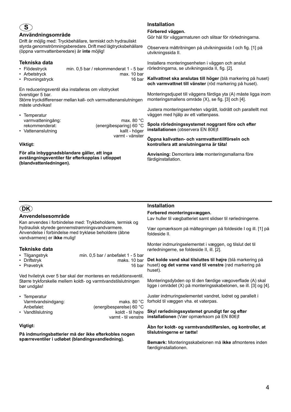## **S**

#### **Användningsområde**

Drift är möjlig med: Tryckbehållare, termiskt och hydrauliskt styrda genomströmningsberedare. Drift med lågtrycksbehållare (öppna varmvattenberedare) är **inte** möjlig!

#### **Tekniska data**

- Flödestryck min. 0,5 bar / rekommenderat 1 5 bar
- Arbetstryck max. 10 bar
- Provningstryck 16 bar

En reduceringsventil ska installeras om vilotrycket överstiger 5 bar.

Större tryckdifferenser mellan kall- och varmvattenanslutningen måste undvikas!

| • Temperatur       |                         |
|--------------------|-------------------------|
| varmvatteningång:  | max. 80 $^{\circ}$ C    |
| rekommenderat:     | (energibesparing) 60 °C |
| • Vattenanslutning | kallt - höger           |
|                    | varmt - vänster         |

#### **Viktigt:**

**För alla inbyggnadsblandare gäller, att inga avstängningsventiler får efterkopplas i utloppet (blandvattenledningen).**

## **Installation**

#### **Förbered väggen.**

Gör hål för väggarmaturen och slitsar för rörledningarna.

Observera måttritningen på utvikningssida I och fig. [1] på utvikningssida II.

Installera monteringsenheten i väggen och anslut rörledningarna, se utvikningssida II, fig. [2].

**Kallvattnet ska anslutas till höger** (blå markering på huset) **och varmvattnet till vänster** (röd markering på huset).

Monteringsdjupet till väggens färdiga yta (A) måste ligga inom monteringsmallens område (X), se fig. [3] och [4].

Justera monteringsenheten vågrätt, lodrätt och parallellt mot väggen med hjälp av ett vattenpass.

**Spola rörledningssystemet noggrant före och efter installationen** (observera EN 806)**!**

**Öppna kallvatten- och varmvattentillförseln och kontrollera att anslutningarna är täta!**

**Anvisning:** Demontera **inte** monteringsmallarna före färdiginstallation.

## **DK**

## **Anvendelsesområde**

Kan anvendes i forbindelse med: Trykbeholdere, termisk og hydraulisk styrede gennemstrømningsvandvarmere. Anvendelse i forbindelse med trykløse beholdere (åbne vandvarmere) er **ikke** mulig!

## **Tekniske data**

- Tilgangstryk min. 0,5 bar / anbefalet 1 5 bar maks. 10 bar<br>16 bar
- 
- $\cdot$  Prøvetryk

Ved hviletryk over 5 bar skal der monteres en reduktionsventil. Større trykforskelle mellem koldt- og varmtvandstilslutningen bør undgås!

• Temperatur

Varmtvandsindgang: maks. 80 °C<br>Anbefalet: maks. 80 °C (energibesparelse) 60 °C • Vandtilslutning koldt - til højre varmt - til venstre

#### **Vigtigt:**

**På indmuringsbatterier må der ikke efterkobles nogen spærreventiler i udløbet (blandingsvandledning).**

## **Installation**

#### **Forbered monteringsvæggen.**

Lav huller til vægbatteriet samt slidser til rørledningerne.

Vær opmærksom på måltegningen på foldeside I og ill. [1] på foldeside II.

Monter indmuringselementet i væggen, og tilslut det til rørledningerne, se foldeside II, ill. [2].

**Det kolde vand skal tilsluttes til højre** (blå markering på huset) **og det varme vand til venstre** (rød markering på huset).

Monteringsdybden op til den færdige vægoverflade (A) skal ligge i området (X) på monteringsskabelonen, se ill. [3] og [4].

Juster indmuringselementet vandret, lodret og parallelt i forhold til væggen vha. et vaterpas.

**Skyl rørledningssystemet grundigt før og efter installationen** (Vær opmærksom på EN 806)**!**

#### **Åbn for koldt- og varmtvandstilførslen, og kontroller, at tilslutningerne er tætte!**

**Bemærk:** Monteringsskabelonen må **ikke** afmonteres inden færdiginstallationen.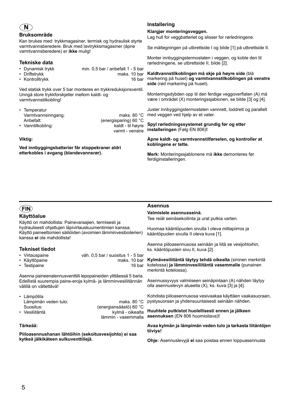

## **Bruksområde**

Kan brukes med: trykkmagasiner, termisk og hydraulisk styrte varmtvannsberedere. Bruk med lavtrykksmagasiner (åpne varmtvannsberedere) er **ikke** mulig!

#### **Tekniske data**

- Dynamisk trykk min. 0,5 bar / anbefalt 1 5 bar
- Driftstrykk maks. 10 bar
- Kontrolltrykk 16 bar

Ved statisk trykk over 5 bar monteres en trykkreduksjonsventil. Unngå store trykkforskjeller mellom kaldt- og varmtvannstilkobling!

| • Temperatur       |                       |
|--------------------|-----------------------|
| Varmtvannsinngang: | maks. 80 $^{\circ}$ C |
| Anbefalt:          | (energisparing) 60 °C |
| • Vanntilkobling:  | kaldt - til høyre     |
|                    | varmt - venstre       |

#### **Viktig:**

**Ved innbyggingsbatterier får stoppekraner aldri etterkobles i avgang (blandevannsrør).**

## **Installering**

#### **Klargjør monteringsveggen.**

Lag hull for veggbatteriet og slisser for rørledningene.

Se måltegningen på utbrettside I og bilde [1] på utbrettside II.

Monter innbyggingstermostaten i veggen, og koble den til rørledningene, se utbrettside II, bilde [2].

**Kaldtvannstilkoblingen må skje på høyre side** (blå markering på huset) **og varmtvannstilkoblingen på venstre side** (rød markering på huset).

Monteringsdybden opp til den ferdige veggoverflaten (A) må være i området (X) monteringssjablonen, se bilde [3] og [4].

Juster innbyggingstermostaten vannrett, loddrett og parallelt med veggen ved hjelp av et vater.

**Spyl rørledningssystemet grundig før og etter installeringen** (Følg EN 806)**!**

**Åpne kaldt- og varmtvannstilførselen, og kontroller at koblingene er tette.**

**Merk:** Monteringssjablonene må **ikke** demonteres før ferdiginstalleringen.

## **FIN**

## **Käyttöalue**

Käyttö on mahdollista: Painevaraajien, termisesti ja hydraulisesti ohjattujen läpivirtauskuumentimien kanssa. Käyttö paineettomien säiliöiden (avoimien lämminvesiboilerien) kanssa **ei** ole mahdollista!

## **Tekniset tiedot**

- Virtauspaine väh. 0,5 bar / suositus 1 5 bar
- Käyttöpaine maks. 10 bar
- $\cdot$  Testipaine

Asenna paineenalennusventtiili lepopaineiden ylittäessä 5 baria. Edellistä suurempia paine-eroja kylmä- ja lämminvesiliitännän välillä on vältettävä!

• Lämpötila Lämpimän veden tulo: maks. 80 °C Suositus: (energiansäästö) 60 °C kylmä - oikealta lämmin - vasemmalla

#### **Tärkeää:**

**Piiloasennushanan lähtöihin (sekoitusvesijohto) ei saa kytkeä jälkikäteen sulkuventtiilejä.**

### **Asennus**

#### **Valmistele asennusseinä.**

Tee reiät seinäsekoitinta ja urat putkia varten.

Huomaa kääntöpuolen sivulla I oleva mittapiirros ja kääntöpuolen sivulla II oleva kuva [1].

Asenna piiloasennusosa seinään ja liitä se vesijohtoihin, ks. kääntöpuolen sivu II, kuva [2].

**Kylmävesiliitäntä täytyy tehdä oikealta** (sininen merkintä kotelossa) **ja lämminvesiliitäntä vasemmalle** (punainen merkintä kotelossa).

Asennussyvyys valmiiseen seinäpintaan (A) nähden täytyy olla asennuslevyn alueella (X), ks. kuva [3] ja [4].

Kohdista piiloasennusosa vesivaakaa käyttäen vaakasuoraan, pystysuoraan ja yhdensuuntaisesti seinään nähden.

**Huuhtele putkistot huolellisesti ennen ja jälkeen asennuksen** (EN 806 huomioitava)**!**

**Avaa kylmän ja lämpimän veden tulo ja tarkasta liitäntöjen tiiviys!**

**Ohje:** Asennuslevyjä **ei** saa poistaa ennen loppuasennusta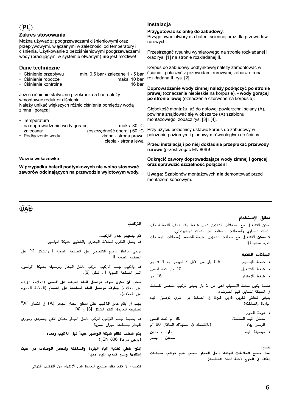## **PL**

#### **Zakres stosowania**

Można używać z: podgrzewaczami ciśnieniowymi oraz przepływowymi, włączanymi w zależności od temperatury i ciśnienia. Użytkowanie z bezciśnieniowymi podgrzewaczami wody (pracującymi w systemie otwartym) **nie** jest możliwe!

#### **Dane techniczne**

- Ciśnienie przepływu min. 0,5 bar / zalecane 1 5 bar
- Ciśnienie robocze maks. 10 bar
- Ciśnienie kontrolne

Jeżeli ciśnienie statyczne przekracza 5 bar, należy wmontować reduktor ciśnienia. Należy unikać większych różnic ciśnienia pomiędzy wodą zimną i gorącą!

• Temperatura na doprowadzeniu wody gorącej: maks. 80 °C zalecana: (oszczędność energii) 60 °C zimna - strona prawa ciepła - strona lewa

#### **Ważna wskazówka:**

**W przypadku baterii podtynkowych nie wolno stosować zaworów odcinających na przewodzie wylotowym wody.**

## **Instalacja**

#### **Przygotować ściankę do zabudowy.**

Przygotować otwory dla baterii ściennej oraz dla przewodów rurowych.

Przestrzegać rysunku wymiarowego na stronie rozkładanej I oraz rys. [1] na stronie rozkładanej II.

Korpus do zabudowy podtynkowej należy zamontować w ścianie i połączyć z przewodami rurowymi, zobacz strona rozkładana II, rys. [2].

**Doprowadzenie wody zimnej należy podłączyć po stronie prawej** (oznaczenie niebieskie na korpusie), **- wody gorącej po stronie lewej** (oznaczenie czerwone na korpusie).

Głębokość montażu, aż do gotowej powierzchni ściany (A), powinna znajdować się w obszarze (X) szablonu montażowego, zobacz rys. [3] i [4].

Przy użyciu poziomicy ustawić korpus do zabudowy w położeniu poziomym i pionowym równoległym do ściany.

**Przed instalacją i po niej dokładnie przepłukać przewody rurowe** (przestrzegać EN 806)**!**

#### **Odkręcić zawory doprowadzające wody zimnej i gorącej oraz sprawdzić szczelność połączeń!**

**Uwaga:** Szablonów montażowych **nie** demontować przed montażem końcowym.

## **UAE**

## نطاق الإستخدام

يمكن التشغيل مع: سخانات التخزين تحت ضغط والسخانات اللحظية ذات التحكم الحراري والسخانات اللحظية ذات التحكم الهيدروليكي. لا **يمكن** التشغيل مع سخانات التخزين عديمة الضغط (سخانات المياه ذات دائرة مفتوحة)!

#### الععانات القنعة

| 0,5 بار على الأقل / الموصى به 1-5 بار<br>• ضغط الإنسياب |  |  |
|---------------------------------------------------------|--|--|
|---------------------------------------------------------|--|--|

- 10 بار كحد أقصى • ضغط التشغيل
- 16 بار • ضغط الإختبار

عندما يكون ضغط الإنسياب أعلى من 5 بار ينبغي تركيب مخفض للضغط في الشبكة لتطابق قيم الضوضاء.

ينبغي تحاشي تكوين فروق كبيرة في الضغط بين طرفي توصيل المياه الباردة والساخنة!

• درجة الحرارة 80 °م كحد أقصى مدخل المياه الساخنة: (للاقتصاد في إستهلاك الطاقة) 60 °م الموصى بها: • توصيلة المياه بارد - يمين ساخن - يسار

هــام :

عند جميع الخلاطات الركبة داخل الجدار يـجـب عدم تركيب صمامات إيقاف فى الخرج (خط الياه الختلطة).

التركيب

قم بتجهيز جدار التركيب.

قم بعمل الثقوب للخلاط الجداري والشقوق لشبكة المواسير.

يرجى مراعاة الرسم التفصيلي على الصفحة المطوية أ والشكل [1] على الصفحة المطوية أأ.

قم بتركيب جسم التركيب الركب داخل الجدار وتوصيله بشبكة المواسير، أنظر الصفحة المطوية أا، شكل [2].

يـجب أن يكون طرف توصيل للياه الباردة على اليمين (العلامة الزرقاء على الغلاف) و**طرف توصيل الياه الساخنة على اليسار** (العلامة الحمراء على الغلاف).

يجب أن يقع عمق التركيب حتى سطح الجدار الجاهز (A) في النطاق "X" لصفيحة المعابرة، أنظر الشكل [3] و [4].

قم بضبط جسم التركيب المركب داخل الجدار بشكل أفقي وعمودي وموازي للجدار بمساعدة ميزان تسوية.

> يتم شطف نظام شبكة الواسير جيداً قبل التركيب وبعده (يرجى مراعاة EN 806)!

إفتح خطى تغذية الياه الباردة والساخنة وإفحص الوصلات من حيث إحكامها وعدم تسرب للياه منها!

تنبيه: لا تقم بفك صفائح المعايرة قبل الإنتهاء من التركيب النهائي.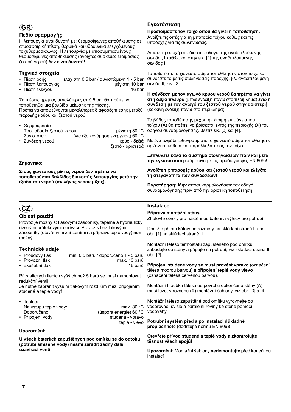# **GR**

## **Πεδίο εφαρµογής**

Η λειτουργία είναι δυνατή µε: θερµοσίφωνες αποθήκευσης σε ατµοσφαιρική πίεση, θερµικά και υδραυλικά ελεγχόµενους ταχυθερµοσίφωνες. Η λειτουργία µε αποσυµπιεσµένους θερµοσίφωνες αποθήκευσης (ανοιχτές συσκευές ετοιµασίας ζεστού νερού) **δεν είναι δυνατή**!

## **Τεχνικά στοιχεία**

- Πίεση ροής ελάχιστη 0,5 bar / συνιστώµενη 1 5 bar
- Πίεση λειτουργίας μέγιστη 10 bar<br>• Πίεση ελέγχου
- Πίεση ελένχου

Σε πιέσεις ηρεµίας µεγαλύτερες από 5 bar θα πρέπει να τοποθετηθεί µια βαλβίδα µείωσης της πίεσης. Πρέπει να αποφεύγονται µεγαλύτερες διαφορές πίεσης µεταξύ παροχής κρύου και ζεστού νερού.

• Θερµοκρασία Τροφοδοσία ζεστού νερού: µέγιστη 80 °C Συνιστάται: (για εξοικονόµηση ενέργειας) 60 °C • Σύνδεση νερού κρύο - δεξιά

ζεστό - αριστερά

teplá - vlevo

#### **Σηµαντικό:**

**Στους χωνευτούς µίκτες νερού δεν πρέπει να τοποθετούνται βαλβίδες διακοπής λειτουργίας µετά την έξοδο του νερού (σωλήνας νερού µίξης).**

## **CZ**

## **Oblast použití**

Provoz je možný s: tlakovými zásobníky, tepelně a hydraulicky řízenými průtokovými ohřívači. Provoz s beztlakovými zásobníky (otevřenými zařízeními na přípravu teplé vody) **není** možný!

## **Technické údaje**

- Proudový tlak min. 0,5 baru / doporučeno 1 5 barů
- Provozní tlak max. 10 barů
- Zkušební tlak

Při statických tlacích vyšších než 5 barů se musí namontovat redukční ventil.

Je nutné zabránit vyšším tlakovým rozdílům mezi připojením studené a teplé vody!

• Teplota Na vstupu teplé vody:<br>
max. 80 °C Doporučeno: (úspora energie) 60 °C • Připojení vody studená - vpravo

#### **Upozornění:**

**U všech bateriích zapuštěných pod omítku se do odtoku (potrubí smíšené vody) nesmí zařadit žádný další uzavírací ventil.**

## **Εγκατάσταση**

**Προετοιµάστε τον τοίχο όπου θα γίνει η τοποθέτηση.** Ανοίξτε τις οπές για τη µπαταρία τοίχου καθώς και τις υποδοχές για τις σωληνώσεις.

∆ώστε προσοχή στο διαστασιολόγιο της αναδιπλούµενης σελίδας I καθώς και στην εικ. [1] της αναδιπλούµενης σελίδας II.

Τοποθετήστε το χωνευτό σώµα τοποθέτησης στον τοίχο και συνδέστε το µε τις σωληνώσεις παροχής, βλ. αναδιπλούµενη σελίδα ΙΙ, εικ. [2].

**Η σύνδεση µε τον αγωγό κρύου νερού θα πρέπει να γίνει στη δεξιά πλευρά** (µπλε ένδειξη πάνω στο περίβληµα) **ενώ η σύνδεση µε τον αγωγό του ζεστού νερού στην αριστερή** (κόκκινη ένδειξη πάνω στο περίβληµα).

Το βάθος τοποθέτησης µέχρι την έτοιµη επιφάνεια του τοίχου (A) θα πρέπει να βρίσκεται εντός της περιοχής (X) του οδηγού συναρµολόγησης, βλέπε εικ. [3] και [4].

Με ένα αλφάδι ευθυγραµµίστε το χωνευτό σώµα τοποθέτησης οριζόντια, κάθετα και παράλληλα προς τον τοίχο.

**Ξεπλύνετε καλά το σύστηµα σωληνώσεων πριν και µετά την εγκατάσταση** (σύµφωνα µε τις προδιαγραφές EN 806)**!**

**Ανοίξτε τις παροχές κρύου και ζεστού νερού και ελέγξτε τη στεγανότητα των συνδέσεων!**

**Παρατήρηση: Μην** αποσυναρµολογήσετε τον οδηγό συναρµολόγησης πριν από την οριστική τοποθέτηση.

### **Instalace**

#### **Příprava montážní stěny.**

Zhotovte otvory pro nástěnnou baterii a výřezy pro potrubí.

Dodržte přitom kótované rozměry na skládací straně I a na obr. [1] na skládací straně II.

Montážní těleso termostatu zapuštěného pod omítku zabudujte do stěny a připojte na potrubí, viz skládací strana II, obr. [2].

**Připojení studené vody se musí provést vpravo** (označení tělesa modrou barvou) **a připojení teplé vody vlevo**  (označení tělesa červenou barvou).

Montážní hloubka tělesa od povrchu dokončené stěny (A) musí ležet v rozsahu (X) montážní šablony, viz obr. [3] a [4].

Montážní těleso zapuštěné pod omítku vyrovnejte do vodorovné, svislé a paralelní roviny ke stěně pomocí vodováhy.

**Potrubní systém před a po instalaci důkladně propláchněte** (dodržujte normu EN 806)**!**

#### **Otevřete přívod studené a teplé vody a zkontrolujte těsnost všech spojů!**

**Upozornění:** Montážní šablony **nedemontujte** před konečnou instalací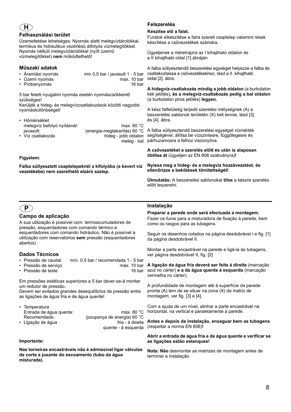## **H**

#### **Felhasználási terület**

Üzemeltetése lehetséges: Nyomás alatti melegvíztárolókkal, termikus és hidraulikus vezérlésű átfolyós vízmelegítőkkel. Nyomás nélküli melegvíztárolókkal (nyílt üzemű vízmelegítőkkel) **nem** működtethető!

## **Műszaki adatok**

- Áramlási nyomás min 0,5 bar / javasolt 1 5 bar
- Üzemi nyomás max. 10 bar
- Próbanyomás

5 bar feletti nyugalmi nyomás esetén nyomáscsökkentő szükséges!

Kerüljék a hideg- és melegvízcsatlakozások közötti nagyobb nyomáskülönbséget!

| • Hőmérséklet               |                              |
|-----------------------------|------------------------------|
| melegvíz befolyó nyílásnál: | max, 80 $^{\circ}$ C         |
| javasolt:                   | (energia-megtakarítás) 60 °C |
| • Víz csatlakozás           | hideg - jobb oldalon         |
|                             | meleg - bal                  |

#### **Figyelem:**

**Falba süllyesztett csaptelepeknél a kifolyóba (a kevert víz vezetékébe) nem szerelhető elzáró szelep.**

## **Felszerelés**

#### **Készítse elő a falat.**

Furatok elkészítése a falra szerelt csaptelep valamint rések készítése a csővezetékek számára.

Ügyeljenek a méretrajzra az I kihajtható oldalon és a II kihajtható oldal [1] ábráján.

A falba süllyesztendő beszerelési egységet helyezze a falba és csatlakoztassa a csővezetékekhez, lásd a II. kihajtható oldal [2]. ábra.

**A hidegvíz-csatlakozás mindig a jobb oldalon** (a burkolaton kék jelölés)**, és a melegvíz-csatlakozás pedig a bal oldalon** (a burkolaton piros jelölés) **legyen.**

A kész falfelületig terjedő szerelési mélységnek (A) a beszerelési sablonok területén (X) kell lennie, lásd [3]. és [4]. ábra.

A falba süllyesztendő beszerelési egységet vízmérték segítségével, állítsa be vízszintesre, függőlegesre és párhuzamosra a falhoz viszonyítva.

**A csővezetéket a szerelés előtt és után is alaposan öblítse át** (ügyeljen az EN 806 szabványra)**!**

**Nyissa meg a hideg- és a melegvíz hozzávezetést, és ellenőrizze a bekötések tömítettségét!**

**Útmutatás:** A beszerelési sablonokat **tilos** a készre szerelés előtt leszerelni.

## **P**

## **Campo de aplicação**

A sua utilização é possível com: termoacumuladores de pressão, esquentadores com comando térmico e esquentadores com comando hidráulico. Não é possível a utilização com reservatórios **sem** pressão (esquentadores abertos).

## **Dados Técnicos**

- Pressão de caudal mín. 0,5 bar / recomendada 1 5 bar
- Pressão de serviço máx. 10 bar
- Pressão de teste

Em pressões estáticas superiores a 5 bar dever-se-á montar um redutor de pressão.

Devem ser evitados grandes desequilíbrios de pressão entre as ligações de água fria e de água quente!

| • Temperatura           |                             |
|-------------------------|-----------------------------|
| Entrada de áqua quente: | máx. 80 $^{\circ}$ C        |
| Recomendada:            | (poupança de energia) 60 °C |
| • Ligação de água       | fria - à direita            |
|                         | quente - à esquerda         |

#### **Importante:**

**Nas torneiras encastráveis não é admissível ligar válvulas de corte a jusante do escoamento (tubo da água misturada).**

## **Instalação**

**Preparar a parede onde será efectuada a montagem.** Fazer os furos para a misturadora de fixação à parede, bem como os rasgos para as tubagens.

Seguir os desenhos cotados na página desdobrável I e fig. [1] da página desdobrável II.

Montar a parte encastrável na parede e ligá-la às tubagens, ver página desdobrável II, fig. [2]

**A ligação da água fria deverá ser feita à direita** (marcação azul no cárter) **e a da água quente à esquerda** (marcação vermelha no cárter).

A profundidade de montagem até à superfície da parede pronta (A) tem de se situar na zona (X) da matriz de montagem, ver fig. [3] e [4].

Com a ajuda de um nível, alinhar a parte encastrável na horizontal, na vertical e paralelamente à parede.

**Antes e depois da instalação, enxaguar bem as tubagens**  (respeitar a norma EN 806)**!**

#### **Abrir a entrada de água fria e de água quente e verificar se as ligações estão estanques!**

**Nota: Não** desmontar as matrizes de montagem antes de terminar a instalação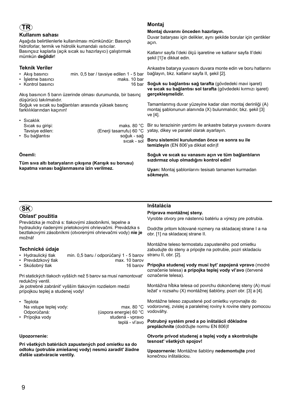## **TR**

## **Kullanım sahası**

Aşağıda belirtilenlerle kullanılması mümkündür: Basınçlı hidroforlar, termik ve hidrolik kumandalı ısıtıcılar. Basınçsız kaplarla (açık sıcak su hazırlayıcı) çalıştırmak mümkün **değildir**!

## **Teknik Veriler**

- Akış basıncı min. 0,5 bar / tavsiye edilen 1 5 bar
- İşletme basıncı maks. 10 bar  $\cdot$  Kontrol basıncı

Akış basıncın 5 barın üzerinde olması durumunda, bir basınç düşürücü takılmalıdır.

Soğuk ve sıcak su bağlantıları arasında yüksek basınç farklılıklarından kaçının!

| • Sıcaklık       |                          |
|------------------|--------------------------|
| Sicak su girisi: | maks. 80 $^{\circ}$ C    |
| Tavsive edilen:  | (Enerii tasarrufu) 60 °C |
| • Su bağlantısı  | soğuk - sağ              |
|                  | sıcak - sol              |

#### **Önemli:**

**Tüm sıva altı bataryaların çıkışına (Karışık su borusu) kapatma vanası bağlanmasına izin verilmez.**

## **Montaj**

#### **Montaj duvarını önceden hazırlayın.**

Duvar bataryası için delikler, aynı şekilde borular için çentikler açın.

Katlanır sayfa I'deki ölçü işaretine ve katlanır sayfa II'deki şekil [1]'e dikkat edin.

Ankastre batarya yuvasını duvara monte edin ve boru hatlarını bağlayın, bkz. katlanır sayfa II, şekil [2].

**Soğuk su bağlantısı sağ tarafta** (gövdedeki mavi işaret) **ve sıcak su bağlantısı sol tarafta** (gövdedeki kırmızı işaret) **gerçekleşmelidir.**

Tamamlanmış duvar yüzeyine kadar olan montaj derinliği (A) montaj şablonunun alanında (X) bulunmalıdır, bkz. şekil [3] ve [4].

Bir su terazisinin yardımı ile ankastre batarya yuvasını duvara yatay, dikey ve paralel olarak ayarlayın.

**Boru sistemini kurulumdan önce ve sonra su ile temizleyin** (EN 806'ya dikkat edin)**!**

**Soğuk ve sıcak su vanasını açın ve tüm bağlantıların sızdırmaz olup olmadığını kontrol edin!**

**Uyarı:** Montaj şablonlarını tesisatı tamamen kurmadan **sökmeyin**.

## **SK**

## **Oblast' použitia**

Prevádzka je možná s: tlakovými zásobníkmi, tepelne a hydraulicky riadenými prietokovými ohrievačmi. Prevádzka s beztlakovými zásobníkmi (otvorenými ohrievačmi vody) **nie je** možná!

## **Technické údaje**

- Hydraulický tlak min. 0,5 baru / odporúčaný 1 5 barov
- Prevádzkový tlak max. 10 barov<br>• Skúšobný tlak max. 16 barov  $\cdot$  Skúšobný tlak

Pri statických tlakoch vyšších než 5 barov sa musí namontovat' redukčný ventil.

Je potrebné zabránit' vyšším tlakovým rozdielom medzi prípojkou teplej a studenej vody!

• Teplota Na vstupe teplej vody: max. 80 °C Odporúčaná: (úspora energie) 60 °C • Prípojka vody studená - vpravo

#### **Upozornenie:**

**Pri všetkých batériách zapustených pod omietku sa do odtoku (potrubie zmiešanej vody) nesmú zaradit' žiadne ďalšie uzatváracie ventily.**

## **Inštalácia**

teplá - vl'avo

#### **Príprava montážnej steny.**

Vyrobte otvory pre nástennú batériu a výrezy pre potrubia.

Dodržte pritom kótované rozmery na skladacej strane I a na obr. [1] na skladacej strane II.

Montážne teleso termostatu zapusteného pod omietku zabudujte do steny a pripojte na potrubie, pozri skladaciu stranu II, obr. [2].

**Prípojka studenej vody musí byt' zapojená vpravo** (modré označenie telesa) **a prípojka teplej vody vl'avo** (červené označenie telesa).

Montážna hĺbka telesa od povrchu dokončenej steny (A) musí ležat' v rozsahu (X) montážnej šablóny, pozri obr. [3] a [4].

Montážne teleso zapustené pod omietku vyrovnajte do vodorovnej, zvislej a paralelnej roviny k rovine steny pomocou vodováhy.

#### **Potrubný systém pred a po inštalácii dôkladne prepláchnite** (dodržujte normu EN 806)**!**

#### **Otvorte prívod studenej a teplej vody a skontrolujte tesnost' všetkých spojov!**

**Upozornenie:** Montážne šablóny **nedemontujte** pred konečnou inštaláciou.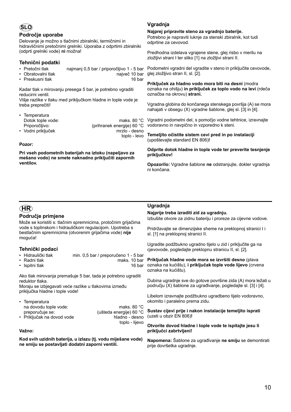## **SLO**

#### **Področje uporabe**

Delovanje je možno s tlačnimi zbiralniki, termičnimi in hidravličnimi pretočnimi grelniki. Uporaba z odprtimi zbiralniki (odprti grelniki vode) **ni** možna!

## **Tehnični podatki**

- Pretočni tlak najmanj 0,5 bar / priporočljivo 1 5 bar
- Obratovalni tlak največ 10 bar
- Preskusni tlak 16 bar

Kadar tlak v mirovanju presega 5 bar, je potrebno vgraditi reducirni ventil.

Višje razlike v tlaku med priključkom hladne in tople vode je treba preprečiti!

| • Temperatura      |                            |
|--------------------|----------------------------|
| Dotok tople vode:  | maks. 80 $^{\circ}$ C      |
| Priporočljivo:     | (prihranek energije) 60 °C |
| • Vodni priključek | mrzlo - desno              |
|                    | toplo - levo               |

#### **Pozor:**

**Pri vseh podometnih baterijah na iztoku (napeljavo za mešano vodo) ne smete naknadno priključiti zapornih ventilov.**

## **Vgradnja**

**Najprej pripravite steno za vgradnjo baterije.**

Potrebno je napraviti luknje za stenski zbiralnik, kot tudi odprtine za cevovod.

Predhodna izdelava vgrajene stene, glej risbo v merilu na zložljivi strani I ter sliko [1] na zložljivi strani II.

Podometni vgradni del vgradite v steno in priključite cevovode, glej zložljivo stran II, sl. [2].

**Priključek za hladno vodo mora biti na desni** (modra oznaka na ohišju) **in priključek za toplo vodo na levi** (rdeča označba na okrovu) **strani.**

Vgradna globina do končanega stenskega površja (A) se mora nahajati v obsegu (X) vgradne šablone, glej sl. [3] in [4].

Vgradni podometni del, s pomočjo vodne tehtnice, izravnajte vodoravno in navpično in vzporedno k steni.

**Temeljito očistite sistem cevi pred in po instalaciji**  (upoštevajte standard EN 806)**!**

**Odprite dotok hladne in tople vode ter preverite tesnjenje priključkov!**

**Opozorilo:** Vgradne šablone **ne** odstranjujte, dokler vgradnja ni končana.

## **HR**

## **Područje primjene**

Može se koristiti s: tlačnim spremnicima, protočnim grijačima vode s toplinskom i hidrauličkom regulacijom. Upotreba s bestlačnim spremnicima (otvorenim grijačima vode) **nije** moguća!

## **Tehnički podaci**

- Hidraulički tlak min. 0,5 bar / preporučeno 1 5 bar
- 
- maks. 10 bar<br>16 bar  $\cdot$  Ispitni tlak

Ako tlak mirovanja premašuje 5 bar, tada je potrebno ugraditi reduktor tlaka.

Moraju se izbjegavati veće razlike u tlakovima između priključka hladne i tople vode!

| • Temperatura              |                         |
|----------------------------|-------------------------|
| na dovodu tople vode:      | maks. 80 °C             |
| preporučuje se:            | (ušteda energije) 60 °C |
| • Priključak na dovod vode | hladno - desno          |

#### **Važno:**

**Kod svih uzidnih baterija, u izlazu (tj. vodu miješane vode) ne smiju se postavljati dodatni zaporni ventili.**

### **Ugradnja**

toplo - lijevo

#### **Najprije treba izraditi zid za ugradnju.**

Izbušite otvore za zidnu bateriju i proreze za cijevne vodove.

Pridržavajte se dimenzijske sheme na preklopnoj stranici I i sl. [1] na preklopnoj stranici II.

Ugradite podžbukno ugradno tijelo u zid i priključite ga na cjevovode, pogledajte preklopnu stranicu II, sl. [2].

**Priključak hladne vode mora se izvršiti desno** (plava oznaka na kućištu), **i priključak tople vode lijevo** (crvena oznaka na kućištu).

Dubina ugradnje sve do gotove površine zida (A) mora ležati u području (X) šablone za ugrađivanje, pogledajte sl. [3] i [4].

Libelom izravnajte podžbukno ugradbeno tijelo vodoravno, okomito i paralelno prema zidu.

**Sustav cijevi prije i nakon instalacije temeljito isprati**  (uzeti u obzir EN 806)**!**

**Otvorite dovod hladne i tople vode te ispitajte jesu li priključci zabrtvljeni!**

**Napomena:** Šablone za ugrađivanje **ne smiju** se demontirati prije dovršetka ugradnje.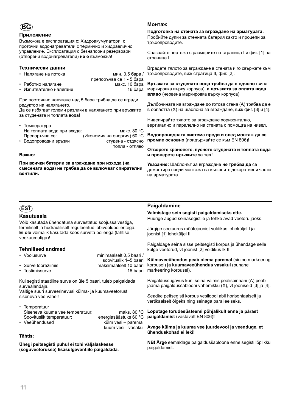## **BG**

#### **Приложение**

Възможна е експлоатация с: Хидроакумулатори, с проточни водонагреватели с термично и хидравлично управление. Експлоатация с безнапорни резервоари (отворени водонагреватели) **не е** възможна!

#### **Технически данни**

- Налягане на потока и потока мин. 0.5 бара /
- препоръчва се 1 5 бара • Работно налягане макс. 10 бара • Изпитвателно налягане 16 бара
- При постоянно налягане над 5 бара трябва да се вгради редуктор на налягането.

Да се избягват големи разлики в налягането при връзките за студената и топлата вода!

| $\cdot$ Температура        |                             |
|----------------------------|-----------------------------|
| На топлата вода при входа: | макс. 80 °С                 |
| Препоръчва се:             | (Икономия на енергия) 60 °С |
| • Водопроводни връзки      | студена - отдясно           |
|                            | топла - отляво              |

#### **Важно:**

**При всички батерии за вграждане при изхода (на смесената вода) не трябва да се включват спирателни вентили.**

## **Монтаж**

**Подготовка на стената за вграждане на арматурата.** Пробийте дупки за стенната батерия както и процепи за тръбопроводите.

Спазвайте чертежа с размерите на страница I и фиг. [1] на страница II.

Вградете тялото за вграждане в стената и го свържете към тръбопроводите, виж стратица II, фиг. [2].

**Връзката за студената вода трябва да е вдясно** (синя маркировка върху корпуса), **а връзката за оплата вода вляво** (червена маркировка върху корпуса).

Дълбочината на вграждане до готова стена (A) трябва да е в областта (X) на шаблона за вграждане, виж фиг. [3] и [4].

Нивелирайте тялото за вграждане хоризонтално, вертикално и паралелно на стената с помощта на нивел.

**Водопроводната система преди и след монтаж да се промие основно** (придържайте се към EN 806)**!**

**Отворете крановете, пуснете студената и топлата вода и проверете връзките за теч!**

**Указание:** Шаблонът за вграждане **не трябва да** се демонтира преди монтажа на външните декоративни части на арматурата

## **EST**

## **Kasutusala**

Võib kasutada ühendatuna survestatud soojussalvestiga, termiliselt ja hüdrauliliselt reguleeritud läbivooluboileritega. **Ei ole** võimalik kasutada koos surveta boileriga (lahtise veekuumutiga)!

## **Tehnilised andmed**

| • Voolusurve        | minimaalselt 0.5 baari / |
|---------------------|--------------------------|
|                     | soovituslik 1–5 baari    |
| • Surve töörežiimis | maksimaalselt 10 baari   |
| • Testimissurve     | 16 baari                 |

Kui segisti staatiline surve on üle 5 baari, tuleb paigaldada survealandaja.

Vältige suuri surveerinevusi külma- ja kuumaveetorust siseneva vee vahel!

• Temperatuur Siseneva kuuma vee temperatuur: maks. 80 °C Soovituslik temperatuur: energiasäästuks 60 °C • Veeühendused külm vesi – paremal

kuum vesi - vasakul

#### **Tähtis:**

**Ühegi peitsegisti puhul ei tohi väljalaskesse (seguveetorusse) lisasulgeventiile paigaldada.**

## **Paigaldamine**

**Valmistage sein segisti paigaldamiseks ette.** Puurige augud seinasegistile ja tehke avad veetoru jaoks.

Järgige seejuures mõõtejoonist voldikus leheküljel I ja joonist [1] leheküljel II.

Paigaldage seina sisse peitsegisti korpus ja ühendage selle külge veetorud, vt joonist [2] voldikus lk II.

**Külmaveeühendus peab olema paremal** (sinine markeering korpusel) **ja kuumaveeühendus vasakul** (punane markeering korpusel).

Paigaldussügavus kuni seina valmis pealispinnani (A) peab jääma paigaldusšablooni vahemikku (X), vt jooniseid [3] ja [4].

Seadke peitsegisti korpus vesiloodi abil horisontaalselt ja vertikaalselt õigeks ning seinaga paralleelseks.

**Loputage torudesüsteemi põhjalikult enne ja pärast paigaldamist** (vastavalt EN 806)**!**

**Avage külma ja kuuma vee juurdevool ja veenduge, et ühenduskohad ei leki!**

**NB! Ärge** eemaldage paigaldusšabloone enne segisti lõplikku paigaldamist.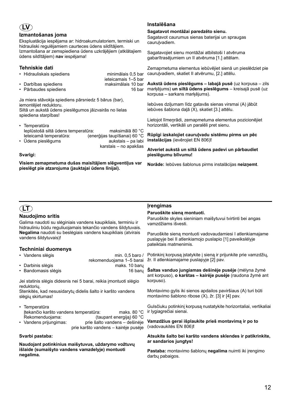## **LV**

#### **Izmantošanas joma**

Ekspluatācija iespējama ar: hidroakumulatoriem, termiski un hidrauliski regulējamiem caurteces ūdens sildītājiem. Izmantošana ar zemspiediena ūdens uzkrājējiem (atklātajiem ūdens sildītājiem) **nav** iespējama!

## **Tehniskie dati**

- Hidrauliskais spiediens minimālais 0,5 bar
- ieteicamais 1–5 bar • Darbības spiediens • Pārbaudes spiediens 16 bar

Ja miera stāvokļa spiediens pārsniedz 5 bārus (bar), iemontējiet reduktoru. Siltā un aukstā ūdens pieslēgumos jāizvairās no lielas spiediena starpības!

- Temperatūra Ieplūstošā siltā ūdens temperatūra: maksimālā 80 °C Ieteicamā temperatūra: (enerģijas taupīšanai) 60 °C • Ūdens pieslēgums aukstais – pa labi
- karstais no apakšas

#### **Svarīgi:**

**Visiem zemapmetuma dušas maisītājiem slēgventiļus var pieslēgt pie atzarojuma (jauktajai ūdens līnijai).**

## **Instalēšana**

#### **Sagatavot montāžai paredzēto sienu.**

Sagatavot caurumus sienas baterijai un spraugas cauruļvadiem.

Sagatavojiet sienu montāžai atbilstoši I atvēruma gabarītrasējumiem un II atvēruma [1.] attēlam.

Zemapmetuma elementus iebūvējiet sienā un pieslēdziet pie cauruļvadiem, skatiet II atvērumu, [2.] attēlu.

**Aukstā ūdens pieslēgums – labajā pusē** (uz korpusa – zils marķējums) **un siltā ūdens pieslēgums** – kreisajā pusē (uz korpusa – sarkans marķējums).

Iebūves dziļumam līdz gatavās sienas virsmai (A) jābūt iebūves šablona daļā (X), skatiet [3.] attēlu.

Lietojot līmeņrādi, zemapmetuma elementus pozicionējiet horizontāli, vertikāli un paralēli pret sienu.

**Rūpīgi izskalojiet cauruļvadu sistēmu pirms un pēc instalācijas** (ievērojiet EN 806)**!** 

**Atveriet aukstā un siltā ūdens padevi un pārbaudiet pieslēgumu blīvumu!**

**Norāde:** Iebūves šablonus pirms instalācijas **neizņemt**.

## **LT**

## **Naudojimo sritis**

Galima naudoti su slėginiais vandens kaupikliais, terminiu ir hidrauliniu būdu reguliuojamais tekančio vandens šildytuvais. **Negalima** naudoti su beslėgiais vandens kaupikliais (atvirais vandens šildytuvais)!

## **Techniniai duomenys**

| • Vandens slėgis    | min. $0.5$ baro /        |
|---------------------|--------------------------|
|                     | rekomenduojama 1-5 barai |
| • Darbinis slėgis   | maks. 10 baru            |
| • Bandomasis slėgis | 16 baru                  |

Jei statinis slėgis didesnis nei 5 barai, reikia įmontuoti slėgio reduktorių.

Stenkitės, kad nesusidarytų didelis šalto ir karšto vandens slėgių skirtumas!

• Temperatūra Įtekančio karšto vandens temperatūra: maks. 80 °C Rekomenduojama: (taupant energiją) 60 °C

• Vandens prijungimas: prie šalto vandens – dešinėje prie karšto vandens – kairėje pusėje

#### **Svarbi pastaba:**

**Naudojant potinkinius maišytuvus, uždarymo vožtuvų išlaide (sumaišyto vandens vamzdelyje) montuoti negalima.**

## **Įrengimas**

#### **Paruoškite sieną montuoti.**

Paruoškite skyles sieniniam maišytuvui tvirtinti bei angas vamzdžiams išvesti.

Paruoškite sieną montuoti vadovaudamiesi I atlenkiamajame puslapyje bei II atlenkiamojo puslapio [1] paveikslėlyje pateiktais matmenimis.

Potinkinį korpusą įstatykite į sieną ir prijunkite prie vamzdžių, žr. II atlenkiamajame puslapyje [2] pav.

**Šaltas vanduo jungiamas dešinėje pusėje** (mėlyna žymė ant korpuso), **o karštas – kairėje pusėje** (raudona žymė ant korpuso).

Montavimo gylis iki sienos apdailos paviršiaus (A) turi būti montavimo šablono ribose (X), žr. [3] ir [4] pav.

Gulsčiuku potinkinį korpusą nustatykite horizontaliai, vertikaliai ir lygiagrečiai sienai.

**Vamzdžius gerai išplaukite prieš montavimą ir po to**  (vadovaukitės EN 806)**!**

#### **Atsukite šalto bei karšto vandens sklendes ir patikrinkite, ar sandarios jungtys!**

**Pastaba:** montavimo šablonų **negalima** nuimti iki įrengimo darbų pabaigos.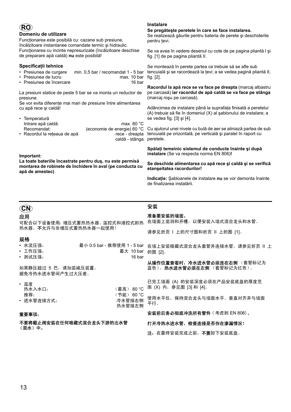| <b>RC</b>                                                                                                                                                            | <b>Instalare</b>                                                                                                                               |  |  |  |
|----------------------------------------------------------------------------------------------------------------------------------------------------------------------|------------------------------------------------------------------------------------------------------------------------------------------------|--|--|--|
| Domeniu de utilizare                                                                                                                                                 | Se pregăteste peretele în care se face instalarea.                                                                                             |  |  |  |
| Funcționarea este posibilă cu: cazane sub presiune,                                                                                                                  | Se realizează găurile pentru bateria de perete și deschiderile                                                                                 |  |  |  |
| încălzitoare instantanee comandate termic și hidraulic.                                                                                                              | pentru tevi.                                                                                                                                   |  |  |  |
| Funcționarea cu incinte nepresurizate (încălzitoare deschise                                                                                                         | Se va avea în vedere desenul cu cote de pe pagina pliantă I și                                                                                 |  |  |  |
| de preparare apă caldă) nu este posibilă!                                                                                                                            | fig. [1] de pe pagina pliantă II.                                                                                                              |  |  |  |
| Specificații tehnice<br>• Presiunea de curgere<br>min. $0.5$ bar / recomandat 1 - 5 bar<br>• Presiunea de lucru<br>max. 10 bar<br>16 bar<br>• Presiunea de încercare | Se montează în perete partea ce trebuie să se afle sub<br>tencuială și se racordează la țevi; a se vedea pagină pliantă II,<br>tig. [2].       |  |  |  |
| La presiuni statice de peste 5 bar se va monta un reductor de                                                                                                        | Racordul la apă rece se va face pe dreapta (marcaj albastru                                                                                    |  |  |  |
| presiune.                                                                                                                                                            | pe carcasă) iar racordul de apă caldă se va face pe stânga                                                                                     |  |  |  |
| Se vor evita diferențe mai mari de presiune între alimentarea                                                                                                        | (marcaj roșu pe carcasă).                                                                                                                      |  |  |  |
| cu apă rece și caldă!                                                                                                                                                | Adâncimea de instalare până la suprafața finisată a peretelui                                                                                  |  |  |  |
| • Temperatură                                                                                                                                                        | (A) trebuie să fie în domeniul (X) al șablonului de instalare; a                                                                               |  |  |  |
| max. 80 $^{\circ}$ C                                                                                                                                                 | se vedea fig. [3] și [4].                                                                                                                      |  |  |  |
| Intrare apă caldă:<br>Recomandat:<br>(economie de energie) 60 °C<br>· Racordul la rețeaua de apă<br>rece - dreapta<br>caldă - stânga                                 | Cu ajutorul unei nivele cu bulă de aer se aliniază partea de sub<br>tencuială pe orizontală, pe verticală și paralel în raport cu<br>peretele. |  |  |  |
| Important:                                                                                                                                                           | Spălați temeinic sistemul de conducte înainte și după<br>instalare (Se va respecta norma EN 806)!                                              |  |  |  |
| La toate bateriile încastrate pentru duş, nu este permisă                                                                                                            | So doschido alimontaroa cu ană roce și caldă și se verifică                                                                                    |  |  |  |

**montarea de robinete de închidere în aval (pe conducta cu apă de amestec)** 

#### **Se deschide alimentarea cu apă rece şi caldă şi se verifică etanşeitatea racordurilor!**

**Indicaţie:** Şabloanele de instalare **nu** se vor demonta înainte de finalizarea instalării.

## **CN**

应用

可配合以下设备使用:增压式蓄热热水器、温控式和液控式即热 热水器。不允许与非增压式蓄热热水器一起使用!

## 规格

| ・ 水流压强: | 最小 0.5 bar - 推荐使用 1 - 5 bar |
|---------|-----------------------------|
| ・ 工作压强: | 最大 10 bar                   |

• 测试压强: 16 bar

如果静压超过 5 巴,请加装减压装置。 避免冷热水进水管间产生过大压差。

| • 温度       |                  |
|------------|------------------|
| 热水入水口:     | (最高) 80 °C       |
| 推荐:        | (节能) 60 °C       |
| • 讲水管连接方式: | 冷水管接右侧<br>热水管接左侧 |
|            |                  |

## 重要事项:

不要将截止阀安装在任何暗藏式混合龙头下游的出水管 (混水)中。

## 安装

## 准备要安装的墙面。

在墙面上凿洞和开槽,以便安装入墙式混合龙头和水管。 请参见折页 I 上的尺寸图和折页 II 上的图 [1]。

在墙上安装暗藏式混合龙头套管并连接水管,请参见折页 II 上 的图 [2]。

从操作位置查看时,冷水进水管必须连在右侧 (套管标记为 蓝色), 热水进水管必须在左侧 (套管标记为红色)。

已完工墙面 (A) 的安装深度必须在产品安装底盘的厚度范 围 (X) 内,参见图 [3] 和 [4]。

使用水平仪,保持混合龙头与墙面水平、垂直对齐并与墙面 平行。

## 安装前后务必彻底冲洗所有管件 ( 考虑到 EN 806)。

#### 打开冷热水进水管,检查连接是否存在渗漏情况!

注: 在最终安装完成之前, 不要卸下安装底盘。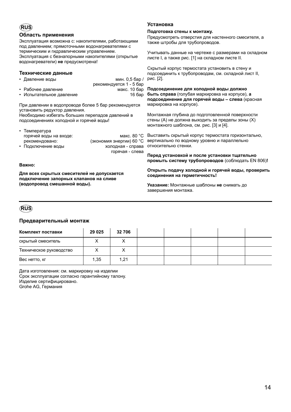## **RUS**

### **Область применения**

Эксплуатация возможна с: накопителями, работающими под давлением; прямоточными водонагревателями с термическим и гидравлическим управлением. Эксплуатация с безнапорными накопителями (открытые водонагреватели) **не** предусмотрена!

## **Технические данные**

| • Давление воды          | мин. 0,5 бар /          |  |  |  |
|--------------------------|-------------------------|--|--|--|
|                          | рекомендуется 1 - 5 бар |  |  |  |
| • Рабочее давление       | макс. 10 бар            |  |  |  |
| • Испытательное лавпение | 16 бар                  |  |  |  |

При давлении в водопроводе более 5 бар рекомендуется установить редуктор давления. Необходимо избегать больших перепадов давлений в

подсоединениях холодной и горячей воды!

| • Температура          |                          |
|------------------------|--------------------------|
| горячей воды на входе: | макс. 80 °С              |
| рекомендовано:         | (экономия энергии) 60 °C |
| • Подключение воды     | холодная - справа        |
|                        | горячая - слева          |

#### **Важно:**

**Для всех скрытых смесителей не допускается подключение запорных клапанов на сливе (водопровод смешанной воды).**

## **Установка**

#### **Подготовка стены к монтажу.**

Предусмотреть отверстия для настенного смесителя, а также штробы для трубопроводов.

Учитывать данные на чертеже с размерами на складном листе I, а также рис. [1] на складном листе II.

Скрытый корпус термостата установить в стену и подсоединить к трубопроводам, см. складной лист II, рис. [2].

**Подсоединение для холодной воды должно быть справа** (голубая маркировка на корпусе), **а подсоединение для горячей воды – слева** (красная маркировка на корпусе).

Монтажная глубина до подготовленной поверхности стены (A) не должна выходить за пределы зоны (X) монтажного шаблона, см. рис. [3] и [4].

Выставить скрытый корпус термостата горизонтально, вертикально по водному уровню и параллельно относительно стенки.

**Перед установкой и после установки тщательно промыть систему трубопроводов** (соблюдать EN 806)**!**

**Открыть подачу холодной и горячей воды, проверить соединения на герметичность!**

**Указание:** Монтажные шаблоны **не** снимать до завершения монтажа.

## **RUS**

## **Предварительный монтаж**

| Комплект поставки       | 29 0 25 | 32 706 |  |  |  |
|-------------------------|---------|--------|--|--|--|
| скрытый смеситель       |         |        |  |  |  |
| Техническое руководство |         |        |  |  |  |
| Вес нетто, кг           | 1,35    | 1,21   |  |  |  |

Дата изготовления: см. маркировку на изделии Срок эксплуатации согласно гарантийному талону. Изделие сертифицировано. Grohe AG, Германия